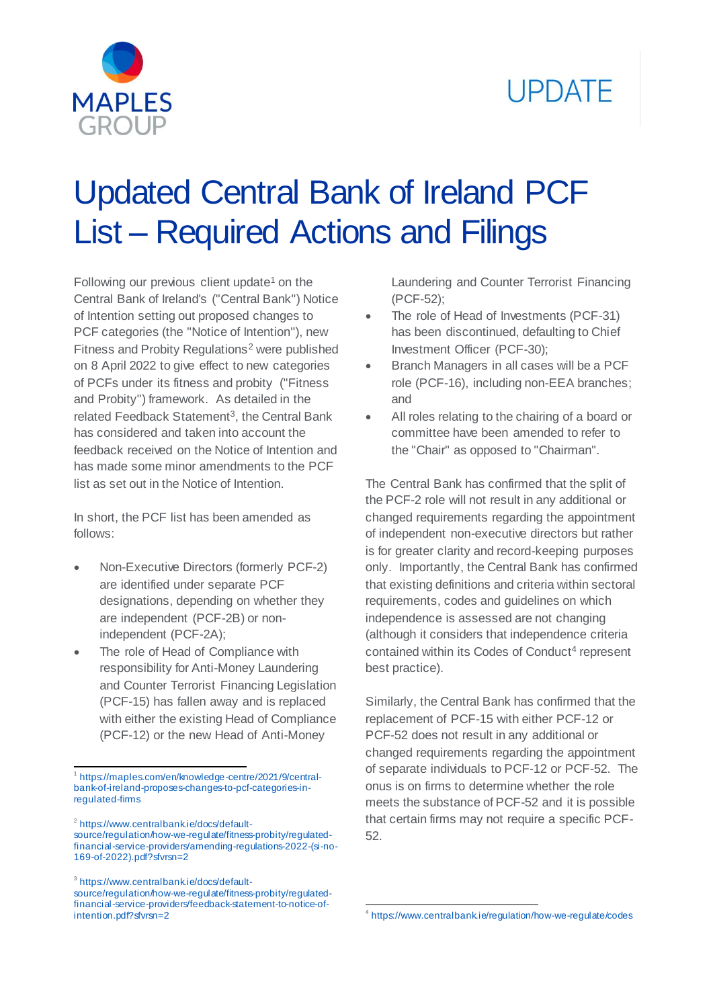



# Updated Central Bank of Ireland PCF List – Required Actions and Filings

Following our previous client update<sup>1</sup> on the Central Bank of Ireland's ("Central Bank") Notice of Intention setting out proposed changes to PCF categories (the "Notice of Intention"), new Fitness and Probity Regulations<sup>2</sup> were published on 8 April 2022 to give effect to new categories of PCFs under its fitness and probity ("Fitness and Probity") framework. As detailed in the related Feedback Statement<sup>3</sup>, the Central Bank has considered and taken into account the feedback received on the Notice of Intention and has made some minor amendments to the PCF list as set out in the Notice of Intention.

In short, the PCF list has been amended as follows:

- Non-Executive Directors (formerly PCF-2) are identified under separate PCF designations, depending on whether they are independent (PCF-2B) or nonindependent (PCF-2A);
- The role of Head of Compliance with responsibility for Anti-Money Laundering and Counter Terrorist Financing Legislation (PCF-15) has fallen away and is replaced with either the existing Head of Compliance (PCF-12) or the new Head of Anti-Money

<sup>2</sup> [https://www.centralbank.ie/docs/default-](https://www.centralbank.ie/docs/default-source/regulation/how-we-regulate/fitness-probity/regulated-financial-service-providers/amending-regulations-2022-(si-no-169-of-2022).pdf?sfvrsn=2)

<sup>3</sup>[https://www.centralbank.ie/docs/default](https://www.centralbank.ie/docs/default-source/regulation/how-we-regulate/fitness-probity/regulated-financial-service-providers/feedback-statement-to-notice-of-intention.pdf?sfvrsn=2)[source/regulation/how-we-regulate/fitness-probity/regulated](https://www.centralbank.ie/docs/default-source/regulation/how-we-regulate/fitness-probity/regulated-financial-service-providers/feedback-statement-to-notice-of-intention.pdf?sfvrsn=2)[financial-service-providers/feedback-statement-to-notice-of](https://www.centralbank.ie/docs/default-source/regulation/how-we-regulate/fitness-probity/regulated-financial-service-providers/feedback-statement-to-notice-of-intention.pdf?sfvrsn=2)[intention.pdf?sfvrsn=2](https://www.centralbank.ie/docs/default-source/regulation/how-we-regulate/fitness-probity/regulated-financial-service-providers/feedback-statement-to-notice-of-intention.pdf?sfvrsn=2)

Laundering and Counter Terrorist Financing (PCF-52);

- The role of Head of Investments (PCF-31) has been discontinued, defaulting to Chief Investment Officer (PCF-30);
- Branch Managers in all cases will be a PCF role (PCF-16), including non-EEA branches; and
- All roles relating to the chairing of a board or committee have been amended to refer to the "Chair" as opposed to "Chairman".

The Central Bank has confirmed that the split of the PCF-2 role will not result in any additional or changed requirements regarding the appointment of independent non-executive directors but rather is for greater clarity and record-keeping purposes only. Importantly, the Central Bank has confirmed that existing definitions and criteria within sectoral requirements, codes and guidelines on which independence is assessed are not changing (although it considers that independence criteria contained within its Codes of Conduct<sup>4</sup> represent best practice).

Similarly, the Central Bank has confirmed that the replacement of PCF-15 with either PCF-12 or PCF-52 does not result in any additional or changed requirements regarding the appointment of separate individuals to PCF-12 or PCF-52. The onus is on firms to determine whether the role meets the substance of PCF-52 and it is possible that certain firms may not require a specific PCF-52.

. 4 <https://www.centralbank.ie/regulation/how-we-regulate/codes>

l 1 [https://maples.com/en/knowledge-centre/2021/9/central](https://maples.com/en/knowledge-centre/2021/9/central-bank-of-ireland-proposes-changes-to-pcf-categories-in-regulated-firms)[bank-of-ireland-proposes-changes-to-pcf-categories-in](https://maples.com/en/knowledge-centre/2021/9/central-bank-of-ireland-proposes-changes-to-pcf-categories-in-regulated-firms)[regulated-firms](https://maples.com/en/knowledge-centre/2021/9/central-bank-of-ireland-proposes-changes-to-pcf-categories-in-regulated-firms)

[source/regulation/how-we-regulate/fitness-probity/regulated](https://www.centralbank.ie/docs/default-source/regulation/how-we-regulate/fitness-probity/regulated-financial-service-providers/amending-regulations-2022-(si-no-169-of-2022).pdf?sfvrsn=2)[financial-service-providers/amending-regulations-2022-\(si-no-](https://www.centralbank.ie/docs/default-source/regulation/how-we-regulate/fitness-probity/regulated-financial-service-providers/amending-regulations-2022-(si-no-169-of-2022).pdf?sfvrsn=2)[169-of-2022\).pdf?sfvrsn=2](https://www.centralbank.ie/docs/default-source/regulation/how-we-regulate/fitness-probity/regulated-financial-service-providers/amending-regulations-2022-(si-no-169-of-2022).pdf?sfvrsn=2)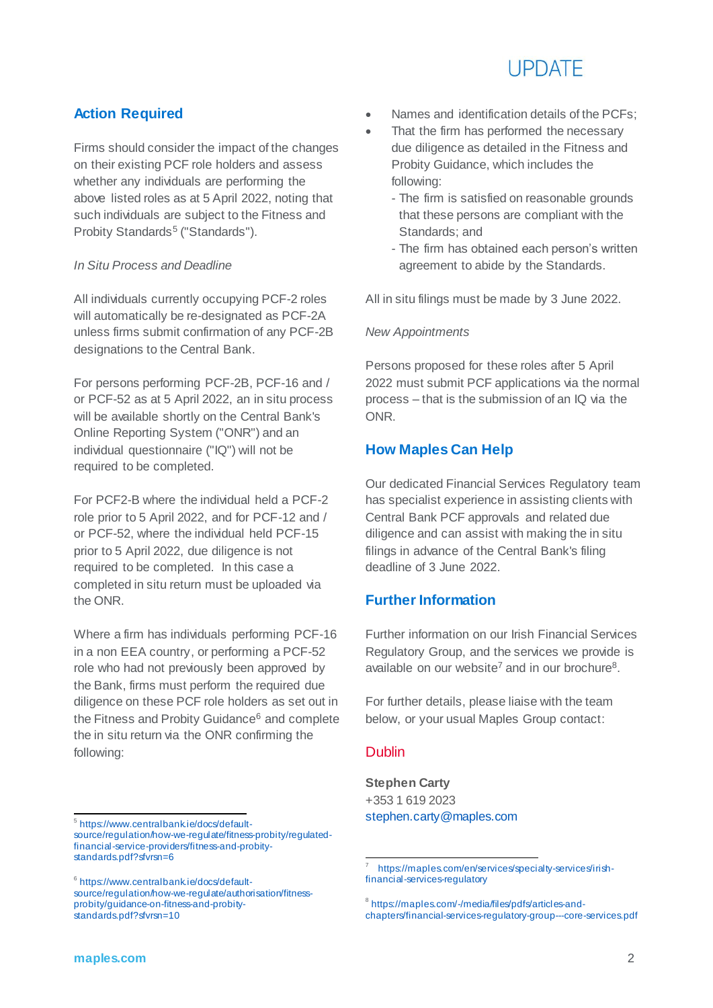# **LIPDATE**

# **Action Required**

Firms should consider the impact of the changes on their existing PCF role holders and assess whether any individuals are performing the above listed roles as at 5 April 2022, noting that such individuals are subject to the Fitness and Probity Standards<sup>5</sup> ("Standards").

### *In Situ Process and Deadline*

All individuals currently occupying PCF-2 roles will automatically be re-designated as PCF-2A unless firms submit confirmation of any PCF-2B designations to the Central Bank.

For persons performing PCF-2B, PCF-16 and / or PCF-52 as at 5 April 2022, an in situ process will be available shortly on the Central Bank's Online Reporting System ("ONR") and an individual questionnaire ("IQ") will not be required to be completed.

For PCF2-B where the individual held a PCF-2 role prior to 5 April 2022, and for PCF-12 and / or PCF-52, where the individual held PCF-15 prior to 5 April 2022, due diligence is not required to be completed. In this case a completed in situ return must be uploaded via the ONR.

Where a firm has individuals performing PCF-16 in a non EEA country, or performing a PCF-52 role who had not previously been approved by the Bank, firms must perform the required due diligence on these PCF role holders as set out in the Fitness and Probity Guidance<sup>6</sup> and complete the in situ return via the ONR confirming the following:

- Names and identification details of the PCFs;
- That the firm has performed the necessary due diligence as detailed in the Fitness and Probity Guidance, which includes the following:
	- The firm is satisfied on reasonable grounds that these persons are compliant with the Standards; and
	- The firm has obtained each person's written agreement to abide by the Standards.

All in situ filings must be made by 3 June 2022.

### *New Appointments*

Persons proposed for these roles after 5 April 2022 must submit PCF applications via the normal process – that is the submission of an IQ via the ONR.

## **How Maples Can Help**

Our dedicated Financial Services Regulatory team has specialist experience in assisting clients with Central Bank PCF approvals and related due diligence and can assist with making the in situ filings in advance of the Central Bank's filing deadline of 3 June 2022.

## **Further Information**

Further information on our Irish Financial Services Regulatory Group, and the services we provide is available on our website<sup>7</sup> and in our brochure<sup>8</sup>.

For further details, please liaise with the team below, or your usual Maples Group contact:

### Dublin

**Stephen Carty** +353 1 619 2023 [stephen.carty@maples.com](mailto:stephen.carty@maples.com)

<sup>8</sup> [https://maples.com/-/media/files/pdfs/articles-and](https://maples.com/-/media/files/pdfs/articles-and-chapters/financial-services-regulatory-group---core-services.pdf)[chapters/financial-services-regulatory-group---core-services.pdf](https://maples.com/-/media/files/pdfs/articles-and-chapters/financial-services-regulatory-group---core-services.pdf)

 5 [https://www.centralbank.ie/docs/default](https://www.centralbank.ie/docs/default-source/regulation/how-we-regulate/fitness-probity/regulated-financial-service-providers/fitness-and-probity-standards.pdf?sfvrsn=6)[source/regulation/how-we-regulate/fitness-probity/regulated](https://www.centralbank.ie/docs/default-source/regulation/how-we-regulate/fitness-probity/regulated-financial-service-providers/fitness-and-probity-standards.pdf?sfvrsn=6)[financial-service-providers/fitness-and-probity](https://www.centralbank.ie/docs/default-source/regulation/how-we-regulate/fitness-probity/regulated-financial-service-providers/fitness-and-probity-standards.pdf?sfvrsn=6)[standards.pdf?sfvrsn=6](https://www.centralbank.ie/docs/default-source/regulation/how-we-regulate/fitness-probity/regulated-financial-service-providers/fitness-and-probity-standards.pdf?sfvrsn=6)

<sup>6</sup> [https://www.centralbank.ie/docs/default](https://www.centralbank.ie/docs/default-source/regulation/how-we-regulate/authorisation/fitness-probity/guidance-on-fitness-and-probity-standards.pdf?sfvrsn=10)[source/regulation/how-we-regulate/authorisation/fitness](https://www.centralbank.ie/docs/default-source/regulation/how-we-regulate/authorisation/fitness-probity/guidance-on-fitness-and-probity-standards.pdf?sfvrsn=10)[probity/guidance-on-fitness-and-probity](https://www.centralbank.ie/docs/default-source/regulation/how-we-regulate/authorisation/fitness-probity/guidance-on-fitness-and-probity-standards.pdf?sfvrsn=10)[standards.pdf?sfvrsn=10](https://www.centralbank.ie/docs/default-source/regulation/how-we-regulate/authorisation/fitness-probity/guidance-on-fitness-and-probity-standards.pdf?sfvrsn=10)

<sup>.</sup> 7 [https://maples.com/en/services/specialty-services/irish](https://maples.com/en/services/specialty-services/irish-financial-services-regulatory)[financial-services-regulatory](https://maples.com/en/services/specialty-services/irish-financial-services-regulatory)